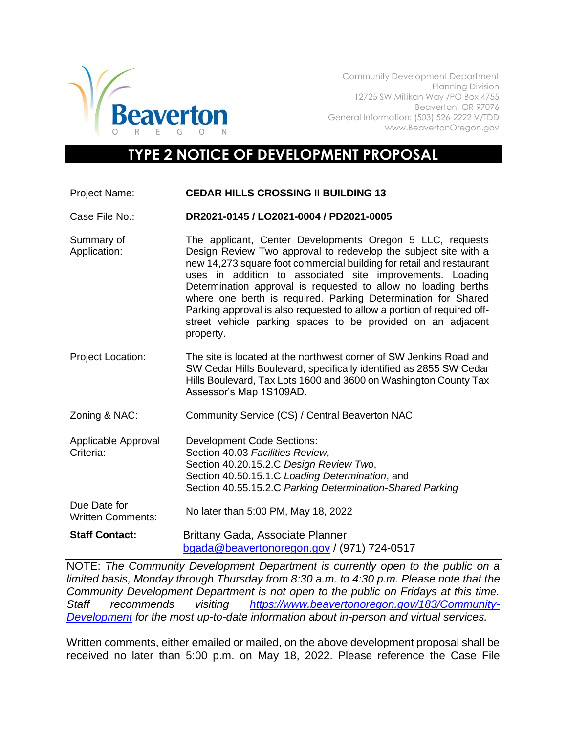

Community Development Department Planning Division 12725 SW Millikan Way /PO Box 4755 Beaverton, OR 97076 General Information: (503) 526-2222 V/TDD www.BeavertonOregon.gov

## **TYPE 2 NOTICE OF DEVELOPMENT PROPOSAL**

| <b>Project Name:</b>                     | <b>CEDAR HILLS CROSSING II BUILDING 13</b>                                                                                                                                                                                                                                                                                                                                                                                                                                                                                                                 |
|------------------------------------------|------------------------------------------------------------------------------------------------------------------------------------------------------------------------------------------------------------------------------------------------------------------------------------------------------------------------------------------------------------------------------------------------------------------------------------------------------------------------------------------------------------------------------------------------------------|
| Case File No.:                           | DR2021-0145 / LO2021-0004 / PD2021-0005                                                                                                                                                                                                                                                                                                                                                                                                                                                                                                                    |
| Summary of<br>Application:               | The applicant, Center Developments Oregon 5 LLC, requests<br>Design Review Two approval to redevelop the subject site with a<br>new 14,273 square foot commercial building for retail and restaurant<br>uses in addition to associated site improvements. Loading<br>Determination approval is requested to allow no loading berths<br>where one berth is required. Parking Determination for Shared<br>Parking approval is also requested to allow a portion of required off-<br>street vehicle parking spaces to be provided on an adjacent<br>property. |
| Project Location:                        | The site is located at the northwest corner of SW Jenkins Road and<br>SW Cedar Hills Boulevard, specifically identified as 2855 SW Cedar<br>Hills Boulevard, Tax Lots 1600 and 3600 on Washington County Tax<br>Assessor's Map 1S109AD.                                                                                                                                                                                                                                                                                                                    |
| Zoning & NAC:                            | Community Service (CS) / Central Beaverton NAC                                                                                                                                                                                                                                                                                                                                                                                                                                                                                                             |
| Applicable Approval<br>Criteria:         | <b>Development Code Sections:</b><br>Section 40.03 Facilities Review,<br>Section 40.20.15.2.C Design Review Two,<br>Section 40.50.15.1.C Loading Determination, and<br>Section 40.55.15.2.C Parking Determination-Shared Parking                                                                                                                                                                                                                                                                                                                           |
| Due Date for<br><b>Written Comments:</b> | No later than 5:00 PM, May 18, 2022                                                                                                                                                                                                                                                                                                                                                                                                                                                                                                                        |
| <b>Staff Contact:</b>                    | Brittany Gada, Associate Planner<br>bgada@beavertonoregon.gov / (971) 724-0517                                                                                                                                                                                                                                                                                                                                                                                                                                                                             |

NOTE: *The Community Development Department is currently open to the public on a limited basis, Monday through Thursday from 8:30 a.m. to 4:30 p.m. Please note that the Community Development Department is not open to the public on Fridays at this time. Staff recommends visiting [https://www.beavertonoregon.gov/183/Community-](https://www.beavertonoregon.gov/183/Community-Development)[Development](https://www.beavertonoregon.gov/183/Community-Development) for the most up-to-date information about in-person and virtual services.*

Written comments, either emailed or mailed, on the above development proposal shall be received no later than 5:00 p.m. on May 18, 2022. Please reference the Case File